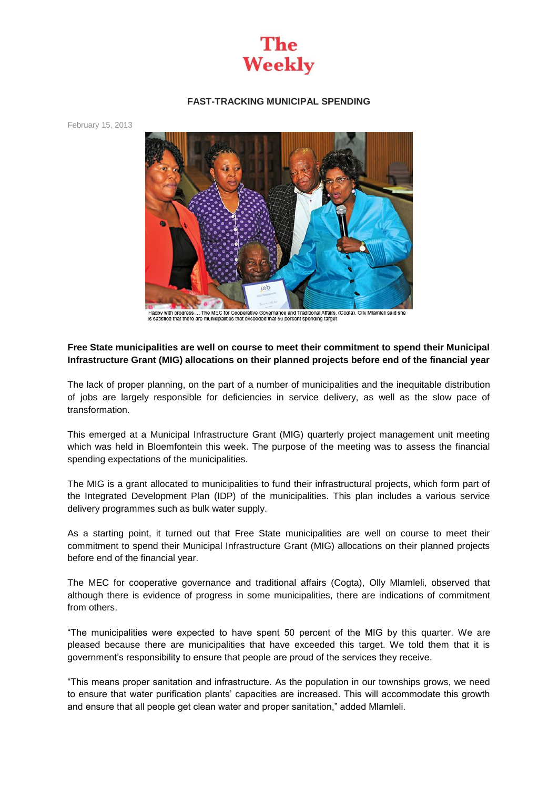

## **FAST-TRACKING MUNICIPAL SPENDING**

February 15, 2013



Happy with progress ... The MEC for Cooperative Governance and Traditional Affairs, (Cogta), Olly Mlamleli said she<br>is satisfied that there are municipalities that exceeded that 50 percent spending target

## **Free State municipalities are well on course to meet their commitment to spend their Municipal Infrastructure Grant (MIG) allocations on their planned projects before end of the financial year**

The lack of proper planning, on the part of a number of municipalities and the inequitable distribution of jobs are largely responsible for deficiencies in service delivery, as well as the slow pace of transformation.

This emerged at a Municipal Infrastructure Grant (MIG) quarterly project management unit meeting which was held in Bloemfontein this week. The purpose of the meeting was to assess the financial spending expectations of the municipalities.

The MIG is a grant allocated to municipalities to fund their infrastructural projects, which form part of the Integrated Development Plan (IDP) of the municipalities. This plan includes a various service delivery programmes such as bulk water supply.

As a starting point, it turned out that Free State municipalities are well on course to meet their commitment to spend their Municipal Infrastructure Grant (MIG) allocations on their planned projects before end of the financial year.

The MEC for cooperative governance and traditional affairs (Cogta), Olly Mlamleli, observed that although there is evidence of progress in some municipalities, there are indications of commitment from others.

"The municipalities were expected to have spent 50 percent of the MIG by this quarter. We are pleased because there are municipalities that have exceeded this target. We told them that it is government's responsibility to ensure that people are proud of the services they receive.

"This means proper sanitation and infrastructure. As the population in our townships grows, we need to ensure that water purification plants' capacities are increased. This will accommodate this growth and ensure that all people get clean water and proper sanitation," added Mlamleli.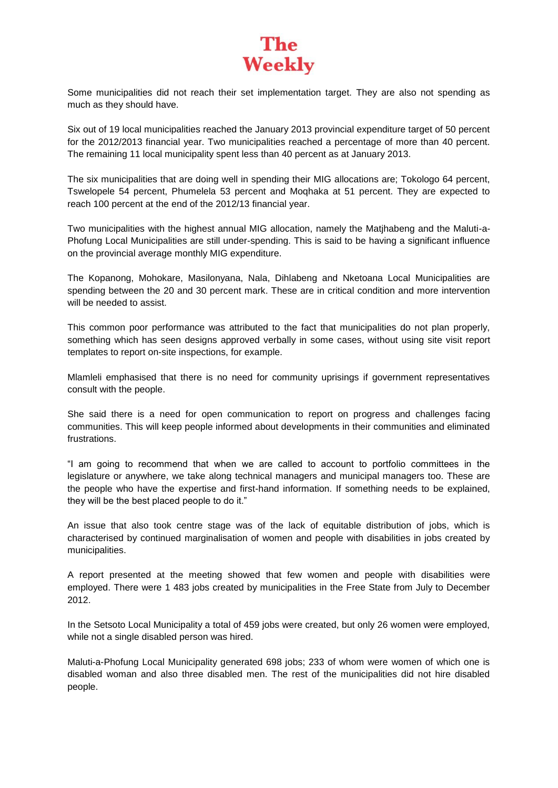## **The Weekly**

Some municipalities did not reach their set implementation target. They are also not spending as much as they should have.

Six out of 19 local municipalities reached the January 2013 provincial expenditure target of 50 percent for the 2012/2013 financial year. Two municipalities reached a percentage of more than 40 percent. The remaining 11 local municipality spent less than 40 percent as at January 2013.

The six municipalities that are doing well in spending their MIG allocations are; Tokologo 64 percent, Tswelopele 54 percent, Phumelela 53 percent and Moqhaka at 51 percent. They are expected to reach 100 percent at the end of the 2012/13 financial year.

Two municipalities with the highest annual MIG allocation, namely the Matjhabeng and the Maluti-a-Phofung Local Municipalities are still under-spending. This is said to be having a significant influence on the provincial average monthly MIG expenditure.

The Kopanong, Mohokare, Masilonyana, Nala, Dihlabeng and Nketoana Local Municipalities are spending between the 20 and 30 percent mark. These are in critical condition and more intervention will be needed to assist.

This common poor performance was attributed to the fact that municipalities do not plan properly, something which has seen designs approved verbally in some cases, without using site visit report templates to report on-site inspections, for example.

Mlamleli emphasised that there is no need for community uprisings if government representatives consult with the people.

She said there is a need for open communication to report on progress and challenges facing communities. This will keep people informed about developments in their communities and eliminated frustrations.

"I am going to recommend that when we are called to account to portfolio committees in the legislature or anywhere, we take along technical managers and municipal managers too. These are the people who have the expertise and first-hand information. If something needs to be explained, they will be the best placed people to do it."

An issue that also took centre stage was of the lack of equitable distribution of jobs, which is characterised by continued marginalisation of women and people with disabilities in jobs created by municipalities.

A report presented at the meeting showed that few women and people with disabilities were employed. There were 1 483 jobs created by municipalities in the Free State from July to December 2012.

In the Setsoto Local Municipality a total of 459 jobs were created, but only 26 women were employed, while not a single disabled person was hired.

Maluti-a-Phofung Local Municipality generated 698 jobs; 233 of whom were women of which one is disabled woman and also three disabled men. The rest of the municipalities did not hire disabled people.